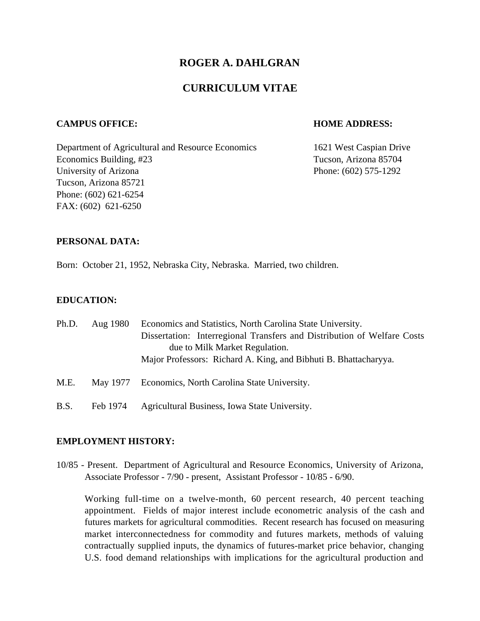# **ROGER A. DAHLGRAN**

# **CURRICULUM VITAE**

#### **CAMPUS OFFICE: HOME ADDRESS:**

Department of Agricultural and Resource Economics 1621 West Caspian Drive Economics Building, #23 Tucson, Arizona 85704 University of Arizona Phone: (602) 575-1292 Tucson, Arizona 85721 Phone: (602) 621-6254 FAX: (602) 621-6250

#### **PERSONAL DATA:**

Born: October 21, 1952, Nebraska City, Nebraska. Married, two children.

#### **EDUCATION:**

| Ph.D. | Aug 1980 | Economics and Statistics, North Carolina State University.<br>Dissertation: Interregional Transfers and Distribution of Welfare Costs<br>due to Milk Market Regulation.<br>Major Professors: Richard A. King, and Bibhuti B. Bhattacharyya. |
|-------|----------|---------------------------------------------------------------------------------------------------------------------------------------------------------------------------------------------------------------------------------------------|
| M.E.  |          | May 1977 Economics, North Carolina State University.                                                                                                                                                                                        |
| B.S.  | Feb 1974 | Agricultural Business, Iowa State University.                                                                                                                                                                                               |

#### **EMPLOYMENT HISTORY:**

10/85 - Present. Department of Agricultural and Resource Economics, University of Arizona, Associate Professor - 7/90 - present, Assistant Professor - 10/85 - 6/90.

Working full-time on a twelve-month, 60 percent research, 40 percent teaching appointment. Fields of major interest include econometric analysis of the cash and futures markets for agricultural commodities. Recent research has focused on measuring market interconnectedness for commodity and futures markets, methods of valuing contractually supplied inputs, the dynamics of futures-market price behavior, changing U.S. food demand relationships with implications for the agricultural production and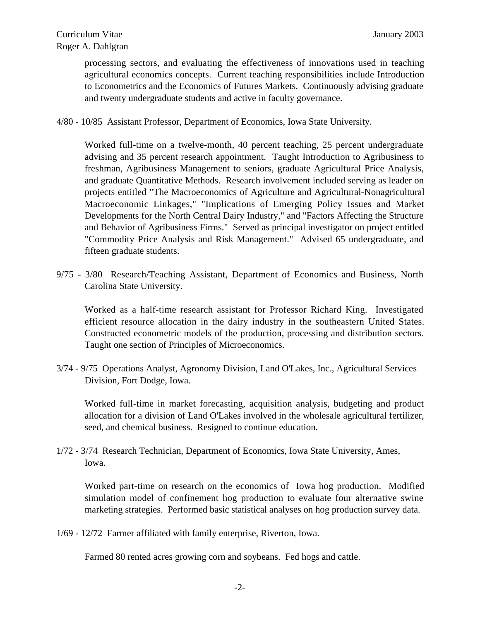processing sectors, and evaluating the effectiveness of innovations used in teaching agricultural economics concepts. Current teaching responsibilities include Introduction to Econometrics and the Economics of Futures Markets. Continuously advising graduate and twenty undergraduate students and active in faculty governance.

4/80 - 10/85 Assistant Professor, Department of Economics, Iowa State University.

Worked full-time on a twelve-month, 40 percent teaching, 25 percent undergraduate advising and 35 percent research appointment. Taught Introduction to Agribusiness to freshman, Agribusiness Management to seniors, graduate Agricultural Price Analysis, and graduate Quantitative Methods. Research involvement included serving as leader on projects entitled "The Macroeconomics of Agriculture and Agricultural-Nonagricultural Macroeconomic Linkages," "Implications of Emerging Policy Issues and Market Developments for the North Central Dairy Industry," and "Factors Affecting the Structure and Behavior of Agribusiness Firms." Served as principal investigator on project entitled "Commodity Price Analysis and Risk Management." Advised 65 undergraduate, and fifteen graduate students.

9/75 - 3/80 Research/Teaching Assistant, Department of Economics and Business, North Carolina State University.

Worked as a half-time research assistant for Professor Richard King. Investigated efficient resource allocation in the dairy industry in the southeastern United States. Constructed econometric models of the production, processing and distribution sectors. Taught one section of Principles of Microeconomics.

3/74 - 9/75 Operations Analyst, Agronomy Division, Land O'Lakes, Inc., Agricultural Services Division, Fort Dodge, Iowa.

Worked full-time in market forecasting, acquisition analysis, budgeting and product allocation for a division of Land O'Lakes involved in the wholesale agricultural fertilizer, seed, and chemical business. Resigned to continue education.

1/72 - 3/74 Research Technician, Department of Economics, Iowa State University, Ames, Iowa.

Worked part-time on research on the economics of Iowa hog production. Modified simulation model of confinement hog production to evaluate four alternative swine marketing strategies. Performed basic statistical analyses on hog production survey data.

1/69 - 12/72 Farmer affiliated with family enterprise, Riverton, Iowa.

Farmed 80 rented acres growing corn and soybeans. Fed hogs and cattle.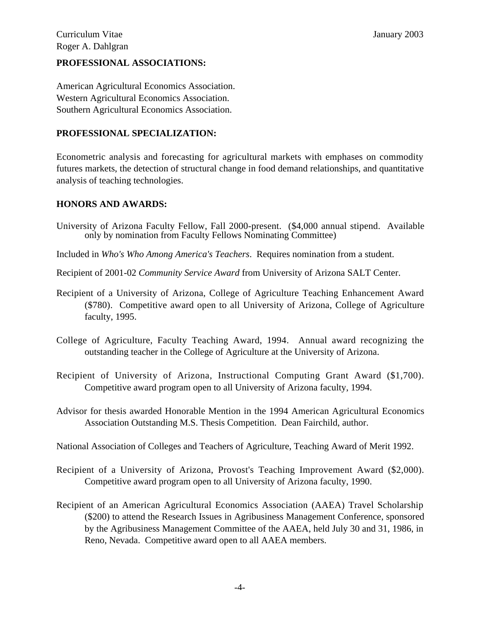# **PROFESSIONAL ASSOCIATIONS:**

American Agricultural Economics Association. Western Agricultural Economics Association. Southern Agricultural Economics Association.

## **PROFESSIONAL SPECIALIZATION:**

Econometric analysis and forecasting for agricultural markets with emphases on commodity futures markets, the detection of structural change in food demand relationships, and quantitative analysis of teaching technologies.

## **HONORS AND AWARDS:**

- University of Arizona Faculty Fellow, Fall 2000-present. (\$4,000 annual stipend. Available only by nomination from Faculty Fellows Nominating Committee)
- Included in *Who's Who Among America's Teachers*. Requires nomination from a student.
- Recipient of 2001-02 *Community Service Award* from University of Arizona SALT Center.
- Recipient of a University of Arizona, College of Agriculture Teaching Enhancement Award (\$780). Competitive award open to all University of Arizona, College of Agriculture faculty, 1995.
- College of Agriculture, Faculty Teaching Award, 1994. Annual award recognizing the outstanding teacher in the College of Agriculture at the University of Arizona.
- Recipient of University of Arizona, Instructional Computing Grant Award (\$1,700). Competitive award program open to all University of Arizona faculty, 1994.
- Advisor for thesis awarded Honorable Mention in the 1994 American Agricultural Economics Association Outstanding M.S. Thesis Competition. Dean Fairchild, author.
- National Association of Colleges and Teachers of Agriculture, Teaching Award of Merit 1992.
- Recipient of a University of Arizona, Provost's Teaching Improvement Award (\$2,000). Competitive award program open to all University of Arizona faculty, 1990.
- Recipient of an American Agricultural Economics Association (AAEA) Travel Scholarship (\$200) to attend the Research Issues in Agribusiness Management Conference, sponsored by the Agribusiness Management Committee of the AAEA, held July 30 and 31, 1986, in Reno, Nevada. Competitive award open to all AAEA members.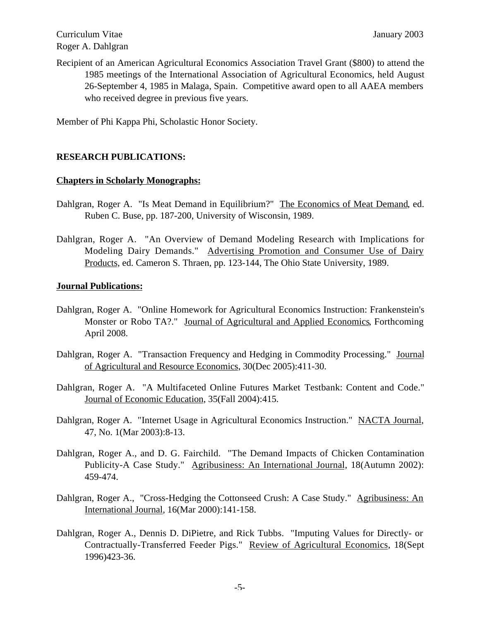Recipient of an American Agricultural Economics Association Travel Grant (\$800) to attend the 1985 meetings of the International Association of Agricultural Economics, held August 26-September 4, 1985 in Malaga, Spain. Competitive award open to all AAEA members who received degree in previous five years.

Member of Phi Kappa Phi, Scholastic Honor Society.

## **RESEARCH PUBLICATIONS:**

## **Chapters in Scholarly Monographs:**

- Dahlgran, Roger A. "Is Meat Demand in Equilibrium?" The Economics of Meat Demand, ed. Ruben C. Buse, pp. 187-200, University of Wisconsin, 1989.
- Dahlgran, Roger A. "An Overview of Demand Modeling Research with Implications for Modeling Dairy Demands." Advertising Promotion and Consumer Use of Dairy Products, ed. Cameron S. Thraen, pp. 123-144, The Ohio State University, 1989.

## **Journal Publications:**

- Dahlgran, Roger A. "Online Homework for Agricultural Economics Instruction: Frankenstein's Monster or Robo TA?." Journal of Agricultural and Applied Economics, Forthcoming April 2008.
- Dahlgran, Roger A. "Transaction Frequency and Hedging in Commodity Processing." Journal of Agricultural and Resource Economics, 30(Dec 2005):411-30.
- Dahlgran, Roger A. "A Multifaceted Online Futures Market Testbank: Content and Code." Journal of Economic Education, 35(Fall 2004):415.
- Dahlgran, Roger A. "Internet Usage in Agricultural Economics Instruction." NACTA Journal, 47, No. 1(Mar 2003):8-13.
- Dahlgran, Roger A., and D. G. Fairchild. "The Demand Impacts of Chicken Contamination Publicity-A Case Study." Agribusiness: An International Journal, 18(Autumn 2002): 459-474.
- Dahlgran, Roger A., "Cross-Hedging the Cottonseed Crush: A Case Study." Agribusiness: An International Journal, 16(Mar 2000):141-158.
- Dahlgran, Roger A., Dennis D. DiPietre, and Rick Tubbs. "Imputing Values for Directly- or Contractually-Transferred Feeder Pigs." Review of Agricultural Economics, 18(Sept 1996)423-36.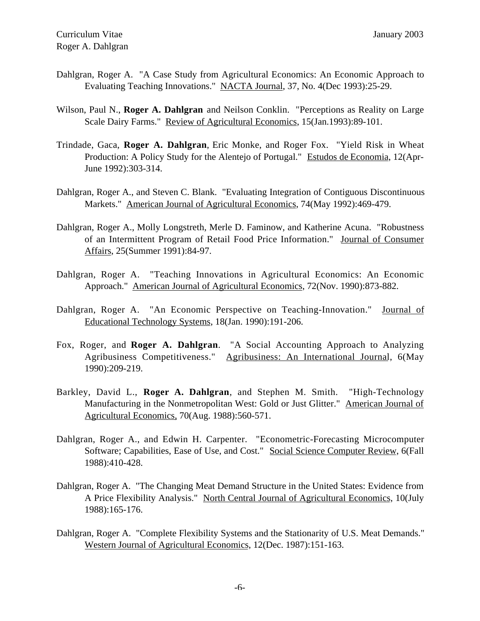- Dahlgran, Roger A. "A Case Study from Agricultural Economics: An Economic Approach to Evaluating Teaching Innovations." NACTA Journal, 37, No. 4(Dec 1993):25-29.
- Wilson, Paul N., **Roger A. Dahlgran** and Neilson Conklin. "Perceptions as Reality on Large Scale Dairy Farms." Review of Agricultural Economics, 15(Jan.1993):89-101.
- Trindade, Gaca, **Roger A. Dahlgran**, Eric Monke, and Roger Fox. "Yield Risk in Wheat Production: A Policy Study for the Alentejo of Portugal." Estudos de Economia, 12(Apr-June 1992):303-314.
- Dahlgran, Roger A., and Steven C. Blank. "Evaluating Integration of Contiguous Discontinuous Markets." American Journal of Agricultural Economics, 74(May 1992):469-479.
- Dahlgran, Roger A., Molly Longstreth, Merle D. Faminow, and Katherine Acuna. "Robustness of an Intermittent Program of Retail Food Price Information." Journal of Consumer Affairs, 25(Summer 1991):84-97.
- Dahlgran, Roger A. "Teaching Innovations in Agricultural Economics: An Economic Approach." American Journal of Agricultural Economics, 72(Nov. 1990):873-882.
- Dahlgran, Roger A. "An Economic Perspective on Teaching-Innovation." Journal of Educational Technology Systems, 18(Jan. 1990):191-206.
- Fox, Roger, and **Roger A. Dahlgran**. "A Social Accounting Approach to Analyzing Agribusiness Competitiveness." Agribusiness: An International Journal, 6(May 1990):209-219.
- Barkley, David L., **Roger A. Dahlgran**, and Stephen M. Smith. "High-Technology Manufacturing in the Nonmetropolitan West: Gold or Just Glitter." American Journal of Agricultural Economics, 70(Aug. 1988):560-571.
- Dahlgran, Roger A., and Edwin H. Carpenter. "Econometric-Forecasting Microcomputer Software; Capabilities, Ease of Use, and Cost." Social Science Computer Review, 6(Fall 1988):410-428.
- Dahlgran, Roger A. "The Changing Meat Demand Structure in the United States: Evidence from A Price Flexibility Analysis." North Central Journal of Agricultural Economics, 10(July 1988):165-176.
- Dahlgran, Roger A. "Complete Flexibility Systems and the Stationarity of U.S. Meat Demands." Western Journal of Agricultural Economics, 12(Dec. 1987):151-163.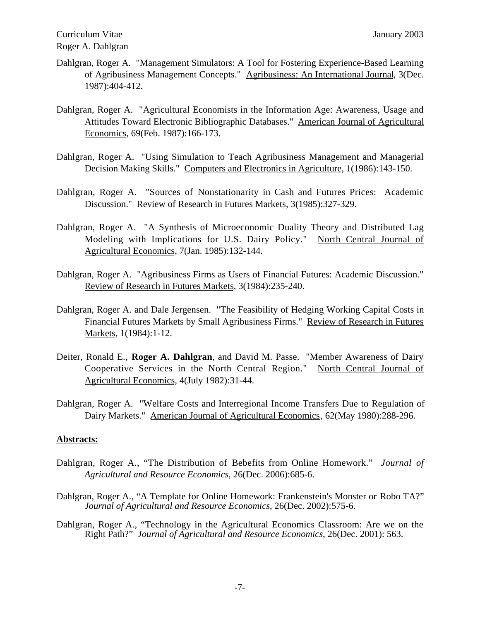- Dahlgran, Roger A. "Management Simulators: A Tool for Fostering Experience-Based Learning of Agribusiness Management Concepts." Agribusiness: An International Journal, 3(Dec. 1987):404-412.
- Dahlgran, Roger A. "Agricultural Economists in the Information Age: Awareness, Usage and Attitudes Toward Electronic Bibliographic Databases." American Journal of Agricultural Economics, 69(Feb. 1987):166-173.
- Dahlgran, Roger A. "Using Simulation to Teach Agribusiness Management and Managerial Decision Making Skills." Computers and Electronics in Agriculture, 1(1986):143-150.
- Dahlgran, Roger A. "Sources of Nonstationarity in Cash and Futures Prices: Academic Discussion." Review of Research in Futures Markets, 3(1985):327-329.
- Dahlgran, Roger A. "A Synthesis of Microeconomic Duality Theory and Distributed Lag Modeling with Implications for U.S. Dairy Policy." North Central Journal of Agricultural Economics, 7(Jan. 1985):132-144.
- Dahlgran, Roger A. "Agribusiness Firms as Users of Financial Futures: Academic Discussion." Review of Research in Futures Markets, 3(1984):235-240.
- Dahlgran, Roger A. and Dale Jergensen. "The Feasibility of Hedging Working Capital Costs in Financial Futures Markets by Small Agribusiness Firms." Review of Research in Futures Markets, 1(1984):1-12.
- Deiter, Ronald E., **Roger A. Dahlgran**, and David M. Passe. "Member Awareness of Dairy Cooperative Services in the North Central Region." North Central Journal of Agricultural Economics, 4(July 1982):31-44.
- Dahlgran, Roger A. "Welfare Costs and Interregional Income Transfers Due to Regulation of Dairy Markets." American Journal of Agricultural Economics, 62(May 1980):288-296.

## **Abstracts:**

- Dahlgran, Roger A., "The Distribution of Bebefits from Online Homework." *Journal of Agricultural and Resource Economics*, 26(Dec. 2006):685-6.
- Dahlgran, Roger A., "A Template for Online Homework: Frankenstein's Monster or Robo TA?" *Journal of Agricultural and Resource Economics*, 26(Dec. 2002):575-6.
- Dahlgran, Roger A., "Technology in the Agricultural Economics Classroom: Are we on the Right Path?" *Journal of Agricultural and Resource Economics*, 26(Dec. 2001): 563.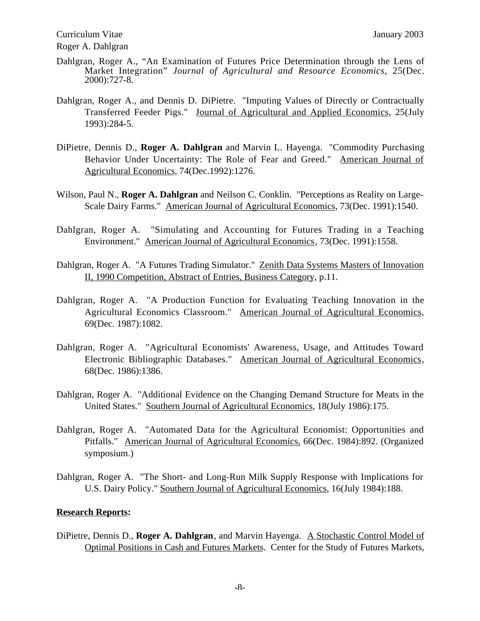- Dahlgran, Roger A., "An Examination of Futures Price Determination through the Lens of Market Integration" *Journal of Agricultural and Resource Economics*, 25(Dec. 2000):727-8.
- Dahlgran, Roger A., and Dennis D. DiPietre. "Imputing Values of Directly or Contractually Transferred Feeder Pigs." Journal of Agricultural and Applied Economics, 25(July 1993):284-5.
- DiPietre, Dennis D., **Roger A. Dahlgran** and Marvin L. Hayenga. "Commodity Purchasing Behavior Under Uncertainty: The Role of Fear and Greed." American Journal of Agricultural Economics, 74(Dec.1992):1276.
- Wilson, Paul N., **Roger A. Dahlgran** and Neilson C. Conklin. "Perceptions as Reality on Large-Scale Dairy Farms." American Journal of Agricultural Economics, 73(Dec. 1991):1540.
- Dahlgran, Roger A. "Simulating and Accounting for Futures Trading in a Teaching Environment." American Journal of Agricultural Economics, 73(Dec. 1991):1558.
- Dahlgran, Roger A. "A Futures Trading Simulator." Zenith Data Systems Masters of Innovation II, 1990 Competition, Abstract of Entries, Business Category, p.11.
- Dahlgran, Roger A. "A Production Function for Evaluating Teaching Innovation in the Agricultural Economics Classroom." American Journal of Agricultural Economics, 69(Dec. 1987):1082.
- Dahlgran, Roger A. "Agricultural Economists' Awareness, Usage, and Attitudes Toward Electronic Bibliographic Databases." American Journal of Agricultural Economics, 68(Dec. 1986):1386.
- Dahlgran, Roger A. "Additional Evidence on the Changing Demand Structure for Meats in the United States." Southern Journal of Agricultural Economics, 18(July 1986):175.
- Dahlgran, Roger A. "Automated Data for the Agricultural Economist: Opportunities and Pitfalls." American Journal of Agricultural Economics, 66(Dec. 1984):892. (Organized symposium.)
- Dahlgran, Roger A. "The Short- and Long-Run Milk Supply Response with Implications for U.S. Dairy Policy." Southern Journal of Agricultural Economics, 16(July 1984):188.

## **Research Reports:**

DiPietre, Dennis D., **Roger A. Dahlgran**, and Marvin Hayenga. A Stochastic Control Model of Optimal Positions in Cash and Futures Markets. Center for the Study of Futures Markets,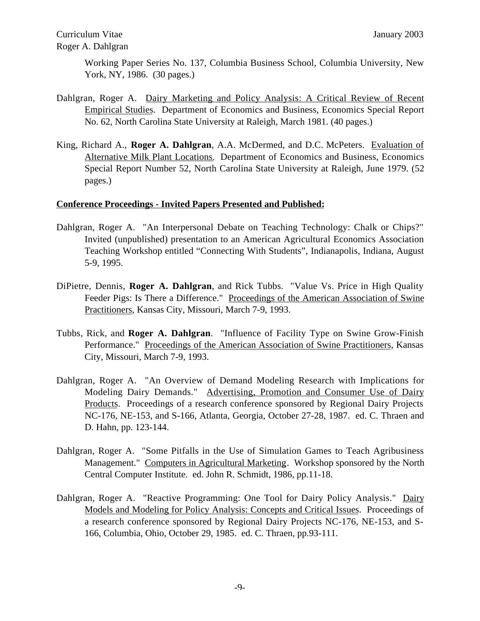Working Paper Series No. 137, Columbia Business School, Columbia University, New York, NY, 1986. (30 pages.)

- Dahlgran, Roger A. Dairy Marketing and Policy Analysis: A Critical Review of Recent Empirical Studies. Department of Economics and Business, Economics Special Report No. 62, North Carolina State University at Raleigh, March 1981. (40 pages.)
- King, Richard A., **Roger A. Dahlgran**, A.A. McDermed, and D.C. McPeters. Evaluation of Alternative Milk Plant Locations. Department of Economics and Business, Economics Special Report Number 52, North Carolina State University at Raleigh, June 1979. (52 pages.)

## **Conference Proceedings - Invited Papers Presented and Published:**

- Dahlgran, Roger A. "An Interpersonal Debate on Teaching Technology: Chalk or Chips?" Invited (unpublished) presentation to an American Agricultural Economics Association Teaching Workshop entitled "Connecting With Students", Indianapolis, Indiana, August 5-9, 1995.
- DiPietre, Dennis, **Roger A. Dahlgran**, and Rick Tubbs. "Value Vs. Price in High Quality Feeder Pigs: Is There a Difference." Proceedings of the American Association of Swine Practitioners, Kansas City, Missouri, March 7-9, 1993.
- Tubbs, Rick, and **Roger A. Dahlgran**. "Influence of Facility Type on Swine Grow-Finish Performance." Proceedings of the American Association of Swine Practitioners, Kansas City, Missouri, March 7-9, 1993.
- Dahlgran, Roger A. "An Overview of Demand Modeling Research with Implications for Modeling Dairy Demands." Advertising, Promotion and Consumer Use of Dairy Products. Proceedings of a research conference sponsored by Regional Dairy Projects NC-176, NE-153, and S-166, Atlanta, Georgia, October 27-28, 1987. ed. C. Thraen and D. Hahn, pp. 123-144.
- Dahlgran, Roger A. "Some Pitfalls in the Use of Simulation Games to Teach Agribusiness Management." Computers in Agricultural Marketing. Workshop sponsored by the North Central Computer Institute. ed. John R. Schmidt, 1986, pp.11-18.
- Dahlgran, Roger A. "Reactive Programming: One Tool for Dairy Policy Analysis." Dairy Models and Modeling for Policy Analysis: Concepts and Critical Issues. Proceedings of a research conference sponsored by Regional Dairy Projects NC-176, NE-153, and S-166, Columbia, Ohio, October 29, 1985. ed. C. Thraen, pp.93-111.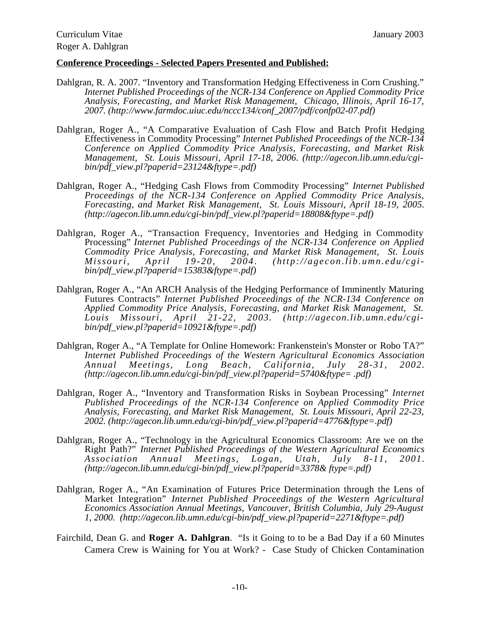#### **Conference Proceedings - Selected Papers Presented and Published:**

- Dahlgran, R. A. 2007. "Inventory and Transformation Hedging Effectiveness in Corn Crushing." *Internet Published Proceedings of the NCR-134 Conference on Applied Commodity Price Analysis, Forecasting, and Market Risk Management, Chicago, Illinois, April 16-17, 2007. (http://www.farmdoc.uiuc.edu/nccc134/conf\_2007/pdf/confp02-07.pdf)*
- Dahlgran, Roger A., "A Comparative Evaluation of Cash Flow and Batch Profit Hedging Effectiveness in Commodity Processing" *Internet Published Proceedings of the NCR-134 Conference on Applied Commodity Price Analysis, Forecasting, and Market Risk Management, St. Louis Missouri, April 17-18, 2006. (http://agecon.lib.umn.edu/cgibin/pdf\_view.pl?paperid=23124&ftype=.pdf)*
- Dahlgran, Roger A., "Hedging Cash Flows from Commodity Processing" *Internet Published Proceedings of the NCR-134 Conference on Applied Commodity Price Analysis, Forecasting, and Market Risk Management, St. Louis Missouri, April 18-19, 2005. (http://agecon.lib.umn.edu/cgi-bin/pdf\_view.pl?paperid=18808&ftype=.pdf)*
- Dahlgran, Roger A., "Transaction Frequency, Inventories and Hedging in Commodity Processing" *Internet Published Proceedings of the NCR-134 Conference on Applied Commodity Price Analysis, Forecasting, and Market Risk Management, St. Louis Missouri, April 19-20, 2004. (http://agecon.lib.umn.edu/cgibin/pdf\_view.pl?paperid=15383&ftype=.pdf)*
- Dahlgran, Roger A., "An ARCH Analysis of the Hedging Performance of Imminently Maturing Futures Contracts" *Internet Published Proceedings of the NCR-134 Conference on Applied Commodity Price Analysis, Forecasting, and Market Risk Management, St. Louis Missouri, April 21-22, 2003. (http://agecon.lib.umn.edu/cgibin/pdf\_view.pl?paperid=10921&ftype=.pdf)*
- Dahlgran, Roger A., "A Template for Online Homework: Frankenstein's Monster or Robo TA?" *Internet Published Proceedings of the Western Agricultural Economics Association Annual Meetings, Long Beach, California, July 28-31, 2002. (http://agecon.lib.umn.edu/cgi-bin/pdf\_view.pl?paperid=5740&ftype= .pdf)*
- Dahlgran, Roger A., "Inventory and Transformation Risks in Soybean Processing" *Internet Published Proceedings of the NCR-134 Conference on Applied Commodity Price Analysis, Forecasting, and Market Risk Management, St. Louis Missouri, April 22-23, 2002. (http://agecon.lib.umn.edu/cgi-bin/pdf\_view.pl?paperid=4776&ftype=.pdf)*
- Dahlgran, Roger A., "Technology in the Agricultural Economics Classroom: Are we on the Right Path?" *Internet Published Proceedings of the Western Agricultural Economics Association Annual Meetings, Logan, Utah, July 8-11, 2001. (http://agecon.lib.umn.edu/cgi-bin/pdf\_view.pl?paperid=3378& ftype=.pdf)*
- Dahlgran, Roger A., "An Examination of Futures Price Determination through the Lens of Market Integration" *Internet Published Proceedings of the Western Agricultural Economics Association Annual Meetings, Vancouver, British Columbia, July 29-August 1, 2000. (http://agecon.lib.umn.edu/cgi-bin/pdf\_view.pl?paperid=2271&ftype=.pdf)*
- Fairchild, Dean G. and **Roger A. Dahlgran**. "Is it Going to to be a Bad Day if a 60 Minutes Camera Crew is Waining for You at Work? - Case Study of Chicken Contamination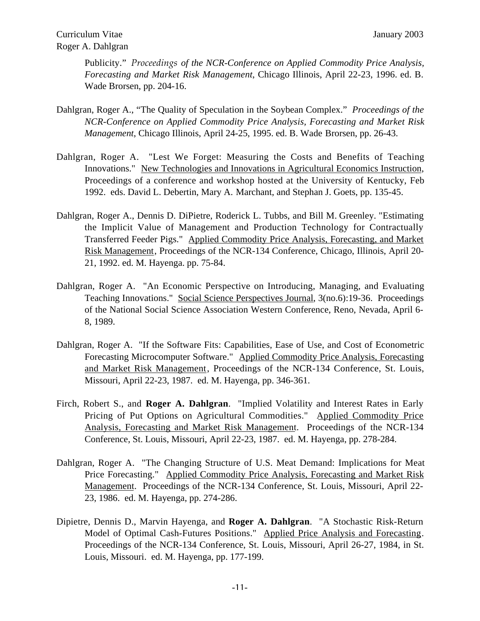Publicity." *Proceedings of the NCR-Conference on Applied Commodity Price Analysis, Forecasting and Market Risk Management*, Chicago Illinois, April 22-23, 1996. ed. B. Wade Brorsen, pp. 204-16.

- Dahlgran, Roger A., "The Quality of Speculation in the Soybean Complex." *Proceedings of the NCR-Conference on Applied Commodity Price Analysis, Forecasting and Market Risk Management*, Chicago Illinois, April 24-25, 1995. ed. B. Wade Brorsen, pp. 26-43.
- Dahlgran, Roger A. "Lest We Forget: Measuring the Costs and Benefits of Teaching Innovations." New Technologies and Innovations in Agricultural Economics Instruction, Proceedings of a conference and workshop hosted at the University of Kentucky, Feb 1992. eds. David L. Debertin, Mary A. Marchant, and Stephan J. Goets, pp. 135-45.
- Dahlgran, Roger A., Dennis D. DiPietre, Roderick L. Tubbs, and Bill M. Greenley. "Estimating the Implicit Value of Management and Production Technology for Contractually Transferred Feeder Pigs." Applied Commodity Price Analysis, Forecasting, and Market Risk Management, Proceedings of the NCR-134 Conference, Chicago, Illinois, April 20- 21, 1992. ed. M. Hayenga. pp. 75-84.
- Dahlgran, Roger A. "An Economic Perspective on Introducing, Managing, and Evaluating Teaching Innovations." Social Science Perspectives Journal, 3(no.6):19-36. Proceedings of the National Social Science Association Western Conference, Reno, Nevada, April 6- 8, 1989.
- Dahlgran, Roger A. "If the Software Fits: Capabilities, Ease of Use, and Cost of Econometric Forecasting Microcomputer Software." Applied Commodity Price Analysis, Forecasting and Market Risk Management, Proceedings of the NCR-134 Conference, St. Louis, Missouri, April 22-23, 1987. ed. M. Hayenga, pp. 346-361.
- Firch, Robert S., and **Roger A. Dahlgran**. "Implied Volatility and Interest Rates in Early Pricing of Put Options on Agricultural Commodities." Applied Commodity Price Analysis, Forecasting and Market Risk Management. Proceedings of the NCR-134 Conference, St. Louis, Missouri, April 22-23, 1987. ed. M. Hayenga, pp. 278-284.
- Dahlgran, Roger A. "The Changing Structure of U.S. Meat Demand: Implications for Meat Price Forecasting." Applied Commodity Price Analysis, Forecasting and Market Risk Management. Proceedings of the NCR-134 Conference, St. Louis, Missouri, April 22-23, 1986. ed. M. Hayenga, pp. 274-286.
- Dipietre, Dennis D., Marvin Hayenga, and **Roger A. Dahlgran**. "A Stochastic Risk-Return Model of Optimal Cash-Futures Positions." Applied Price Analysis and Forecasting. Proceedings of the NCR-134 Conference, St. Louis, Missouri, April 26-27, 1984, in St. Louis, Missouri. ed. M. Hayenga, pp. 177-199.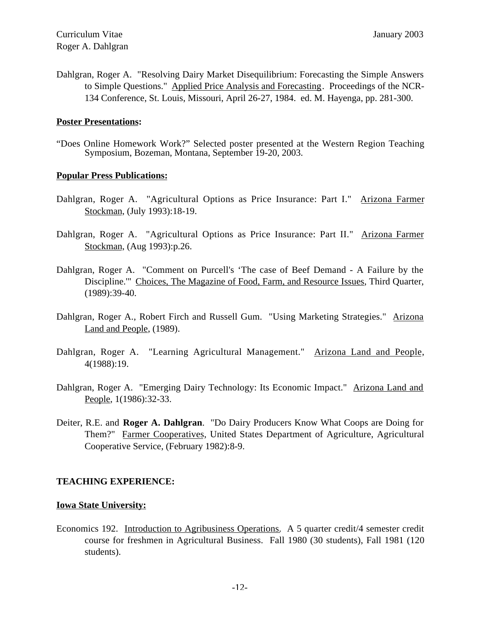Dahlgran, Roger A. "Resolving Dairy Market Disequilibrium: Forecasting the Simple Answers to Simple Questions." Applied Price Analysis and Forecasting. Proceedings of the NCR-134 Conference, St. Louis, Missouri, April 26-27, 1984. ed. M. Hayenga, pp. 281-300.

#### **Poster Presentations:**

"Does Online Homework Work?" Selected poster presented at the Western Region Teaching Symposium, Bozeman, Montana, September 19-20, 2003.

## **Popular Press Publications:**

- Dahlgran, Roger A. "Agricultural Options as Price Insurance: Part I." Arizona Farmer Stockman, (July 1993):18-19.
- Dahlgran, Roger A. "Agricultural Options as Price Insurance: Part II." Arizona Farmer Stockman, (Aug 1993):p.26.
- Dahlgran, Roger A. "Comment on Purcell's 'The case of Beef Demand A Failure by the Discipline.'" Choices, The Magazine of Food, Farm, and Resource Issues, Third Quarter, (1989):39-40.
- Dahlgran, Roger A., Robert Firch and Russell Gum. "Using Marketing Strategies." Arizona Land and People, (1989).
- Dahlgran, Roger A. "Learning Agricultural Management." Arizona Land and People, 4(1988):19.
- Dahlgran, Roger A. "Emerging Dairy Technology: Its Economic Impact." Arizona Land and People, 1(1986):32-33.
- Deiter, R.E. and **Roger A. Dahlgran**. "Do Dairy Producers Know What Coops are Doing for Them?" Farmer Cooperatives, United States Department of Agriculture, Agricultural Cooperative Service, (February 1982):8-9.

## **TEACHING EXPERIENCE:**

#### **Iowa State University:**

Economics 192. Introduction to Agribusiness Operations. A 5 quarter credit/4 semester credit course for freshmen in Agricultural Business. Fall 1980 (30 students), Fall 1981 (120 students).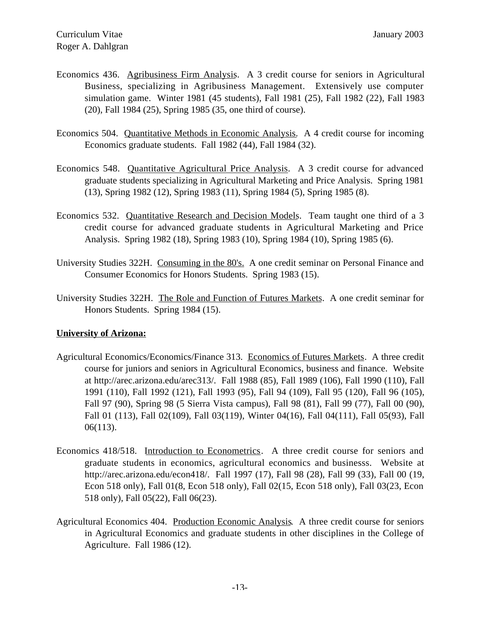- Economics 436. Agribusiness Firm Analysis. A 3 credit course for seniors in Agricultural Business, specializing in Agribusiness Management. Extensively use computer simulation game. Winter 1981 (45 students), Fall 1981 (25), Fall 1982 (22), Fall 1983 (20), Fall 1984 (25), Spring 1985 (35, one third of course).
- Economics 504. Quantitative Methods in Economic Analysis. A 4 credit course for incoming Economics graduate students. Fall 1982 (44), Fall 1984 (32).
- Economics 548. Quantitative Agricultural Price Analysis. A 3 credit course for advanced graduate students specializing in Agricultural Marketing and Price Analysis. Spring 1981 (13), Spring 1982 (12), Spring 1983 (11), Spring 1984 (5), Spring 1985 (8).
- Economics 532. Quantitative Research and Decision Models. Team taught one third of a 3 credit course for advanced graduate students in Agricultural Marketing and Price Analysis. Spring 1982 (18), Spring 1983 (10), Spring 1984 (10), Spring 1985 (6).
- University Studies 322H. Consuming in the 80's. A one credit seminar on Personal Finance and Consumer Economics for Honors Students. Spring 1983 (15).
- University Studies 322H. The Role and Function of Futures Markets. A one credit seminar for Honors Students. Spring 1984 (15).

## **University of Arizona:**

- Agricultural Economics/Economics/Finance 313. Economics of Futures Markets. A three credit course for juniors and seniors in Agricultural Economics, business and finance. Website at http://arec.arizona.edu/arec313/. Fall 1988 (85), Fall 1989 (106), Fall 1990 (110), Fall 1991 (110), Fall 1992 (121), Fall 1993 (95), Fall 94 (109), Fall 95 (120), Fall 96 (105), Fall 97 (90), Spring 98 (5 Sierra Vista campus), Fall 98 (81), Fall 99 (77), Fall 00 (90), Fall 01 (113), Fall 02(109), Fall 03(119), Winter 04(16), Fall 04(111), Fall 05(93), Fall 06(113).
- Economics 418/518. Introduction to Econometrics. A three credit course for seniors and graduate students in economics, agricultural economics and businesss. Website at http://arec.arizona.edu/econ418/. Fall 1997 (17), Fall 98 (28), Fall 99 (33), Fall 00 (19, Econ 518 only), Fall 01(8, Econ 518 only), Fall 02(15, Econ 518 only), Fall 03(23, Econ 518 only), Fall 05(22), Fall 06(23).
- Agricultural Economics 404. Production Economic Analysis. A three credit course for seniors in Agricultural Economics and graduate students in other disciplines in the College of Agriculture. Fall 1986 (12).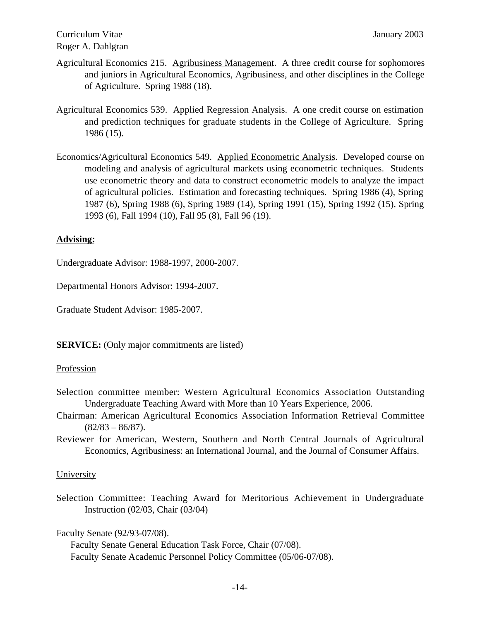# Curriculum Vitae January 2003 Roger A. Dahlgran

- Agricultural Economics 215. Agribusiness Management. A three credit course for sophomores and juniors in Agricultural Economics, Agribusiness, and other disciplines in the College of Agriculture. Spring 1988 (18).
- Agricultural Economics 539. Applied Regression Analysis. A one credit course on estimation and prediction techniques for graduate students in the College of Agriculture. Spring 1986 (15).
- Economics/Agricultural Economics 549. Applied Econometric Analysis. Developed course on modeling and analysis of agricultural markets using econometric techniques. Students use econometric theory and data to construct econometric models to analyze the impact of agricultural policies. Estimation and forecasting techniques. Spring 1986 (4), Spring 1987 (6), Spring 1988 (6), Spring 1989 (14), Spring 1991 (15), Spring 1992 (15), Spring 1993 (6), Fall 1994 (10), Fall 95 (8), Fall 96 (19).

# **Advising:**

Undergraduate Advisor: 1988-1997, 2000-2007.

Departmental Honors Advisor: 1994-2007.

Graduate Student Advisor: 1985-2007.

**SERVICE:** (Only major commitments are listed)

## **Profession**

- Selection committee member: Western Agricultural Economics Association Outstanding Undergraduate Teaching Award with More than 10 Years Experience, 2006.
- Chairman: American Agricultural Economics Association Information Retrieval Committee  $(82/83 - 86/87)$ .
- Reviewer for American, Western, Southern and North Central Journals of Agricultural Economics, Agribusiness: an International Journal, and the Journal of Consumer Affairs.

## **University**

Selection Committee: Teaching Award for Meritorious Achievement in Undergraduate Instruction (02/03, Chair (03/04)

Faculty Senate (92/93-07/08).

Faculty Senate General Education Task Force, Chair (07/08). Faculty Senate Academic Personnel Policy Committee (05/06-07/08).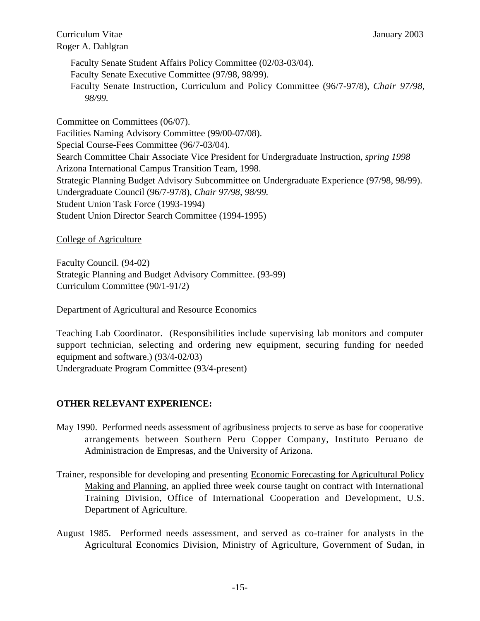Curriculum Vitae January 2003 Roger A. Dahlgran

Faculty Senate Student Affairs Policy Committee (02/03-03/04). Faculty Senate Executive Committee (97/98, 98/99). Faculty Senate Instruction, Curriculum and Policy Committee (96/7-97/8), *Chair 97/98, 98/99.*

Committee on Committees (06/07). Facilities Naming Advisory Committee (99/00-07/08). Special Course-Fees Committee (96/7-03/04). Search Committee Chair Associate Vice President for Undergraduate Instruction, *spring 1998* Arizona International Campus Transition Team, 1998. Strategic Planning Budget Advisory Subcommittee on Undergraduate Experience (97/98, 98/99). Undergraduate Council (96/7-97/8), *Chair 97/98, 98/99.* Student Union Task Force (1993-1994) Student Union Director Search Committee (1994-1995)

## College of Agriculture

Faculty Council. (94-02) Strategic Planning and Budget Advisory Committee. (93-99) Curriculum Committee (90/1-91/2)

Department of Agricultural and Resource Economics

Teaching Lab Coordinator. (Responsibilities include supervising lab monitors and computer support technician, selecting and ordering new equipment, securing funding for needed equipment and software.) (93/4-02/03) Undergraduate Program Committee (93/4-present)

## **OTHER RELEVANT EXPERIENCE:**

- May 1990. Performed needs assessment of agribusiness projects to serve as base for cooperative arrangements between Southern Peru Copper Company, Instituto Peruano de Administracion de Empresas, and the University of Arizona.
- Trainer, responsible for developing and presenting Economic Forecasting for Agricultural Policy Making and Planning, an applied three week course taught on contract with International Training Division, Office of International Cooperation and Development, U.S. Department of Agriculture.
- August 1985. Performed needs assessment, and served as co-trainer for analysts in the Agricultural Economics Division, Ministry of Agriculture, Government of Sudan, in